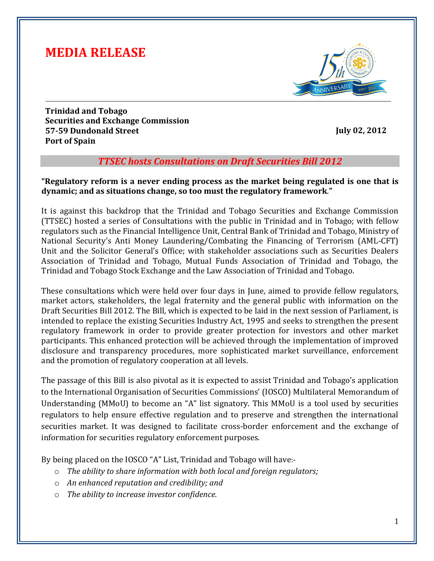# **MEDIA RELEASE**



**Trinidad and Tobago Securities and Exchange Commission 57-59 Dundonald Street Port of Spain**

**July 02, 2012**

### *TTSEC hosts Consultations on Draft Securities Bill 2012*

**"Regulatory reform is a never ending process as the market being regulated is one that is dynamic; and as situations change, so too must the regulatory framework**.**"**

It is against this backdrop that the Trinidad and Tobago Securities and Exchange Commission (TTSEC) hosted a series of Consultations with the public in Trinidad and in Tobago; with fellow regulators such as the Financial Intelligence Unit, Central Bank of Trinidad and Tobago, Ministry of National Security's Anti Money Laundering/Combating the Financing of Terrorism (AML-CFT) Unit and the Solicitor General's Office; with stakeholder associations such as Securities Dealers Association of Trinidad and Tobago, Mutual Funds Association of Trinidad and Tobago, the Trinidad and Tobago Stock Exchange and the Law Association of Trinidad and Tobago.

These consultations which were held over four days in June, aimed to provide fellow regulators, market actors, stakeholders, the legal fraternity and the general public with information on the Draft Securities Bill 2012. The Bill, which is expected to be laid in the next session of Parliament, is intended to replace the existing Securities Industry Act, 1995 and seeks to strengthen the present regulatory framework in order to provide greater protection for investors and other market participants. This enhanced protection will be achieved through the implementation of improved disclosure and transparency procedures, more sophisticated market surveillance, enforcement and the promotion of regulatory cooperation at all levels.

The passage of this Bill is also pivotal as it is expected to assist Trinidad and Tobago's application to the International Organisation of Securities Commissions' (IOSCO) Multilateral Memorandum of Understanding (MMoU) to become an "A" list signatory. This MMoU is a tool used by securities regulators to help ensure effective regulation and to preserve and strengthen the international securities market. It was designed to facilitate cross-border enforcement and the exchange of information for securities regulatory enforcement purposes.

By being placed on the IOSCO "A" List, Trinidad and Tobago will have:-

- o *The ability to share information with both local and foreign regulators;*
- o *An enhanced reputation and credibility; and*
- o *The ability to increase investor confidence.*